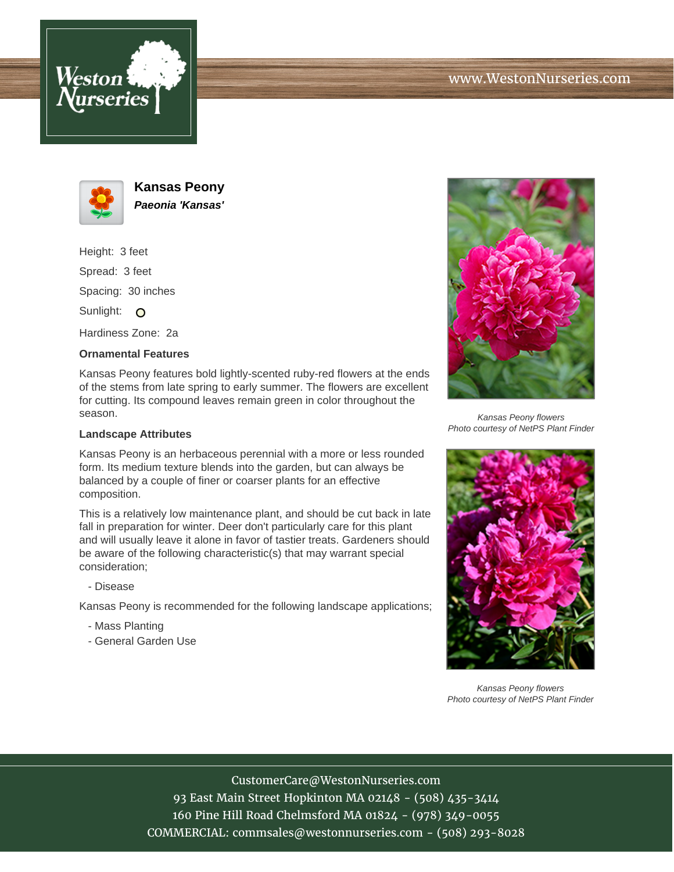





**Kansas Peony Paeonia 'Kansas'**

Height: 3 feet Spread: 3 feet Spacing: 30 inches Sunlight: O

Hardiness Zone: 2a

## **Ornamental Features**

Kansas Peony features bold lightly-scented ruby-red flowers at the ends of the stems from late spring to early summer. The flowers are excellent for cutting. Its compound leaves remain green in color throughout the season.

## **Landscape Attributes**

Kansas Peony is an herbaceous perennial with a more or less rounded form. Its medium texture blends into the garden, but can always be balanced by a couple of finer or coarser plants for an effective composition.

This is a relatively low maintenance plant, and should be cut back in late fall in preparation for winter. Deer don't particularly care for this plant and will usually leave it alone in favor of tastier treats. Gardeners should be aware of the following characteristic(s) that may warrant special consideration;

- Disease

Kansas Peony is recommended for the following landscape applications;

- Mass Planting
- General Garden Use



Kansas Peony flowers Photo courtesy of NetPS Plant Finder



Kansas Peony flowers Photo courtesy of NetPS Plant Finder

CustomerCare@WestonNurseries.com

93 East Main Street Hopkinton MA 02148 - (508) 435-3414 160 Pine Hill Road Chelmsford MA 01824 - (978) 349-0055 COMMERCIAL: commsales@westonnurseries.com - (508) 293-8028